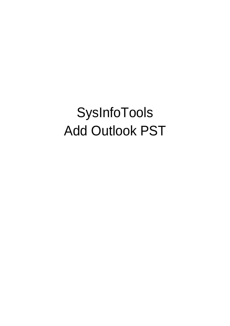# SysInfoTools Add Outlook PST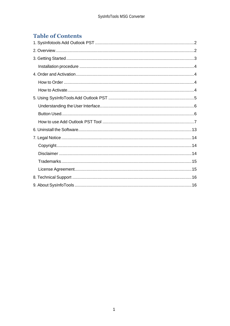# **Table of Contents**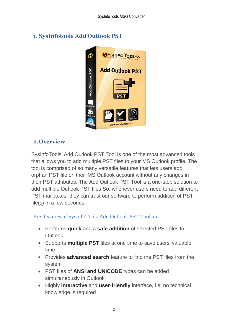

# <span id="page-2-0"></span>**1. SysInfotools Add Outlook PST**

# <span id="page-2-1"></span>**2.Overview**

SysInfoTools' Add Outlook PST Tool is one of the most advanced tools that allows you to add multiple PST files to your MS Outlook profile. The tool is comprised of so many versatile features that lets users add orphan PST file on their MS Outlook account without any changes in their PST attributes. The Add Outlook PST Tool is a one-stop solution to add multiple Outlook PST files So, whenever users need to add different PST mailboxes, they can trust our software to perform addition of PST file(s) in a few seconds.

## Key features of SysInfoTools Add Outlook PST Tool are:

- Performs **quick** and a **safe addition** of selected PST files to **Outlook**
- Supports **multiple PST** files at one time to save users' valuable time
- Provides **advanced search** feature to find the PST files from the system
- PST files of **ANSI and UNICODE** types can be added simultaneously in Outlook
- Highly **interactive** and **user-friendly** interface, i.e. no technical knowledge is required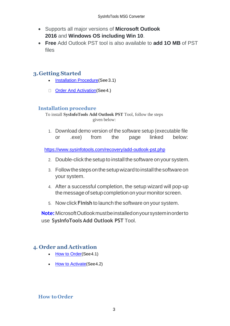- Supports all major versions of **Microsoft Outlook 2016** and **Windows OS including Win 10**.
- **Free** Add Outlook PST tool is also available to **add 1O MB** of PST files

## <span id="page-3-0"></span>**3.Getting Started**

- [Installation Procedure\(](#page-3-1)See 3.1)
- Order And Activation (See 4.)

### <span id="page-3-1"></span>**Installation procedure**

To install **SysInfoTools Add Outlook PST** Tool, follow the steps given below:

1. Download demo version of the software setup (executable file or .exe) from the page linked below:

<https://www.sysinfotools.com/recovery/add-outlook-pst.php>

- 2. Double-click the setup to install the software onyour system.
- 3. Follow the steps on the setup wizard to install the software on your system.
- 4. After a successful completion, the setup wizard will pop-up the message of setup completion on your monitor screen.
- 5. Now click **Finish** to launch the software on your system.

**Note:**MicrosoftOutlookmustbeinstalledonyoursysteminorderto use **SysInfoTools Add Outlook PST** Tool.

## <span id="page-3-2"></span>**4. Order and Activation**

- [How to Order](#page-3-3)(See4.1)
- **[How to Activate](#page-4-0)** (See 4.2)

### <span id="page-3-3"></span>**How to Order**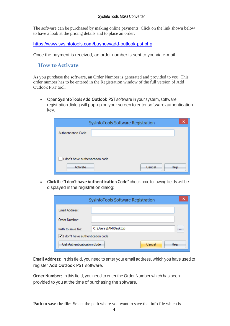The software can be purchased by making online payments. Click on the link shown below to have a look at the pricing details and to place an order.

<https://www.sysinfotools.com/buynow/add-outlook-pst.php>

Once the payment is received, an order number is sent to you via e-mail.

#### <span id="page-4-0"></span>**How to Activate**

As you purchase the software, an Order Number is generated and provided to you. This order number has to be entered in the Registration window of the full version of Add Outlook PST tool.

• Open **SysInfoTools Add Outlook PST** software in your system, software registration dialog will pop-up on your screen to enter software authentication key.

| SysInfoTools Software Registration |  |
|------------------------------------|--|
| Authentication Code:               |  |
|                                    |  |
|                                    |  |
| I don't have authentication code   |  |
| Cancel<br>Help<br>Activate         |  |

• Click the **"I don't have Authentication Code"** check box, following fields will be displayed in the registration dialog:

|                                    | SysInfoTools Software Registration |          |
|------------------------------------|------------------------------------|----------|
| Email Address:                     |                                    |          |
| Order Number:                      |                                    |          |
| Path to save file:                 | C:\Users\SAM\Desktop               | $\cdots$ |
| √ I don't have authentication code |                                    |          |
| Get Authenticatication Code        | <b>Help</b><br>Cancel              |          |

**Email Address:** In this field, you need to enter your email address, which you have used to register **Add Outlook PST** software.

**Order Number:** In this field, you need to enter the Order Number which has been provided to you at the time of purchasing the software.

**Path to save the file:** Select the path where you want to save the .info file which is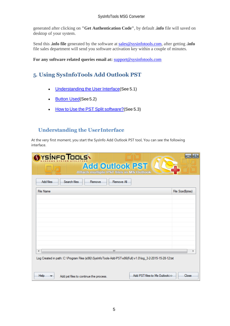generated after clicking on **"Get Authentication Code"**, by default **.info** file will saved on desktop of your system.

Send this **.info file** generated by the software at [sales@sysinfotools.com,](mailto:sales@sysinfotools.com) after getting **.info** file sales department will send you software activation key within a couple of minutes.

**For any software related queries email at:** [support@sysinfotools.com](mailto:support@sysinfotools.com)

# <span id="page-5-0"></span>**5. Using SysInfoTools Add Outlook PST**

- [Understanding](#page-5-1) the User Interface (See 5.1)
- [Button Used](#page-5-2)(See 5.2)
- How to Use the PST Split [software?](#page-6-0)(See 5.3)

#### <span id="page-5-1"></span>**Understanding the UserInterface**

<span id="page-5-2"></span>At the very first moment, you start the SysInfo Add Outlook PST tool, You can see the following interface.

| YSINFO TOOLS<br><b>Add Outlook PST</b><br><b>Attach multiple PST files in MS Outlook</b>                  |                  |
|-----------------------------------------------------------------------------------------------------------|------------------|
| Search files<br><b>Add files</b><br>Remove All<br>Remove                                                  |                  |
| File Name                                                                                                 | File Size(Bytes) |
|                                                                                                           |                  |
|                                                                                                           |                  |
|                                                                                                           |                  |
|                                                                                                           |                  |
|                                                                                                           |                  |
| ш<br>∢                                                                                                    | ь                |
| Log Created in path: C:\Program Files (x86)\SysInfoTools-Add-PST-x86(Full) v1.0\log_3-2-2015-15-28-12.txt |                  |
|                                                                                                           |                  |
| Add PST files to Ms Outlook>><br>Help<br>Add pst files to continue the process.                           | Close            |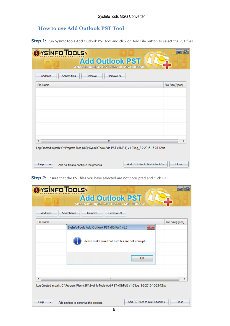# <span id="page-6-0"></span>**How to use Add Outlook PST Tool**

**Step 1:** Run SysInfoTools Add Outlook PST tool and click on Add File button to select the PST files.

| YSÍNFO TOOLS<br><b>Add Outlook PST</b><br>Attach multiple PST files in MS Outlook<br>Search files<br>Add files<br>Remove All<br>Remove |                                        |
|----------------------------------------------------------------------------------------------------------------------------------------|----------------------------------------|
| <b>File Name</b>                                                                                                                       | File Size(Bytes)                       |
|                                                                                                                                        |                                        |
|                                                                                                                                        |                                        |
|                                                                                                                                        |                                        |
|                                                                                                                                        |                                        |
|                                                                                                                                        |                                        |
| Ш<br>∢                                                                                                                                 |                                        |
| Log Created in path: C:\Program Files (x86)\SysInfoTools-Add-PST-x86(Full) v1.0\log_3-2-2015-15-28-12.txt                              |                                        |
| Help<br>Add pst files to continue the process.                                                                                         | Add PST files to Ms Outlook>><br>Close |

**Step 2:** Ensure that the PST files you have selected are not corrupted and click OK.

| YSÍNFO TOOLS<br><b>Add Outlook PST</b><br>Attach multiple PST files in MS Outlook                                |
|------------------------------------------------------------------------------------------------------------------|
| <b>Add files</b><br>Search files<br>Remove All<br>Remove                                                         |
| File Name<br>File Size(Bytes)<br>SysInfoTools Add Outlook PST x86(Full) v1.0<br>$-23$                            |
| Please make sure that pst files are not corrupt.                                                                 |
| OK                                                                                                               |
| m.<br>Log Created in path: C:\Program Files (x86)\SysInfo Tools-Add-PST-x86(Full) v1.0\log_3-2-2015-15-28-12.txt |
| Add PST files to Ms Outlook>><br>Help<br>Close<br>Add pst files to continue the process.                         |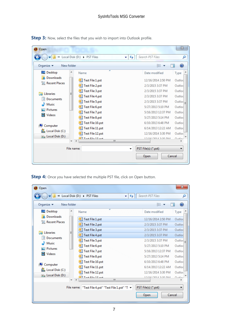| Step 3: Now, select the files that you wish to import into Outlook profile. |  |
|-----------------------------------------------------------------------------|--|
|-----------------------------------------------------------------------------|--|

| Open                                           | « Local Disk (D:) > PST Files<br>↫<br>÷                       | Search PST Files                                             | $\mathbb{Z}$<br>م                         |
|------------------------------------------------|---------------------------------------------------------------|--------------------------------------------------------------|-------------------------------------------|
| Organize $\blacktriangledown$<br>New folder    |                                                               | 睚                                                            |                                           |
| <b>Desktop</b>                                 | ∽<br>Name                                                     | Date modified                                                | Type                                      |
| Downloads<br>Recent Places                     | Test File 1.pst<br>Test File 2.pst                            | 12/16/2014 2:50 PM<br>2/3/2015 3:37 PM                       | Outloc<br>Outloc                          |
| Libraries<br>Documents<br>E                    | Test File 3.pst<br>Test File 4.pst<br>Test File 5.pst         | 2/3/2015 3:37 PM<br>2/3/2015 3:37 PM<br>2/3/2015 3:37 PM     | Outloc<br>Outlod<br>$Outloc$ <sub>=</sub> |
| Music<br><b>Pictures</b><br><b>Videos</b><br>₩ | Test File 6.pst<br>O 1<br>Test File 7.pst                     | 5/27/2013 5:10 PM<br>5/16/2013 12:37 PM                      | Outloc<br>Outloc<br>Outloc                |
| Computer<br>Local Disk (C:)                    | Test File 8.pst<br>Test File 10.pst<br>Test File 11.pst       | 5/27/2013 5:14 PM<br>6/10/2013 6:48 PM<br>6/14/2013 12:22 AM | Outloc<br>Outloc                          |
| $\overline{m}_{\text{m}}$ Local Disk (D:)      | Test File 12.pst<br>$\overline{a}$ Tast $Eil_{2}$ 12 ast<br>Ш | 12/16/2014 3:30 PM<br><b>MAC ACJC MPACISHING</b>             | Outloc<br>$0.41 - 1$                      |
|                                                | File name:<br>▼                                               | PST File(s) (*.pst)<br>Cancel<br>Open                        |                                           |

**Step 4:** Once you have selected the multiple PST file, click on Open button.

| Open                                          |                                                                                                  | $\mathbf{x}$                              |
|-----------------------------------------------|--------------------------------------------------------------------------------------------------|-------------------------------------------|
|                                               | « Local Disk (D:) > PST Files<br>Search PST Files<br>↫<br>٠                                      | Ω                                         |
| Organize $\blacktriangledown$<br>New folder   |                                                                                                  | 睚                                         |
| <b>Desktop</b>                                | Name<br>Date modified                                                                            | Type                                      |
| <b>Downloads</b><br><b>Recent Places</b><br>讍 | Test File 1.pst<br>O 1                                                                           | 12/16/2014 2:50 PM<br>Outloc              |
|                                               | Test File 2.pst                                                                                  | 2/3/2015 3:37 PM<br>Outloc                |
| <b>Libraries</b>                              | Test File 3.pst                                                                                  | 2/3/2015 3:37 PM<br>Outloc                |
| <b>Documents</b>                              | Test File 4.pst<br>O1                                                                            | 2/3/2015 3:37 PM<br>Outloc                |
| Music                                         | Test File 5.pst                                                                                  | 2/3/2015 3:37 PM<br>$Outloc$ <sub>=</sub> |
| <b>Pictures</b>                               | Test File 6.pst                                                                                  | 5/27/2013 5:10 PM<br>Outloc               |
| <b>Videos</b>                                 | <b>Test File 7.pst</b>                                                                           | 5/16/2013 12:37 PM<br>Outloc              |
|                                               | Test File 8.pst                                                                                  | 5/27/2013 5:14 PM<br>Outloc               |
| Computer<br>تكر                               | Test File 10.pst                                                                                 | 6/10/2013 6:48 PM<br>Outloc               |
| Local Disk (C:)                               | Test File 11.pst                                                                                 | 6/14/2013 12:22 AM<br>Outloc              |
| $\overline{m}_{\text{in}}$ Local Disk (D:)    | Test File 12.pst                                                                                 | 12/16/2014 3:30 PM<br>Outloc              |
|                                               | $\overline{a}$ l Tart Eila 12 net<br>Ш                                                           | $0.41 - 1$<br><b>10/16/2014 2-20 DM</b>   |
|                                               | PST File(s) (*.pst)<br>"Test File 4.pst" "Test File 1.pst" "T $\blacktriangledown$<br>File name: |                                           |
|                                               | Open                                                                                             | Cancel                                    |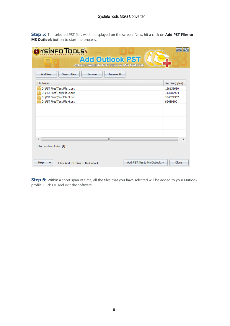**Step 5:** The selected PST files will be displayed on the screen. Now, hit a click on **Add PST Files to MS Outlook** button to start the process.

| YSÍNFO <b>T</b> OOLS\<br><b>Add Outlook PST</b><br><b>Attach multiple PST files in MS Outlook</b><br>Search files<br><b>Add files</b><br>Remove All<br>Remove |                  |
|---------------------------------------------------------------------------------------------------------------------------------------------------------------|------------------|
| <b>File Name</b>                                                                                                                                              | File Size(Bytes) |
| D: VPST Files \Test File 1.pst                                                                                                                                | 136135680        |
| D: \PST Files\Test File 2.pst                                                                                                                                 | 113787904        |
| D:\PST Files\Test File 3.pst                                                                                                                                  | 164324352        |
| D: \PST Files\Test File 4.pst                                                                                                                                 | 62489600         |
| m.<br>∢<br>Total number of files: [4]                                                                                                                         | r                |
| Add PST files to Ms Outlook>><br>Help<br>Click Add PST files to Ms Outlook                                                                                    | Close            |

**Step 6:** Within a short span of time, all the files that you have selected will be added to your Outlook profile. Click OK and exit the software.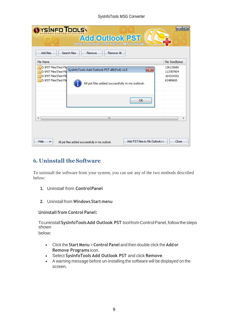#### SysInfoTools MSG Converter

| YSÍNFO TOOLS<br><b>Add Outlook PST</b><br>Attach multiple PST files in MS Outlook<br><b>Add files</b><br>Search files<br>Remove All<br>Remove                                                                        |                                                 |
|----------------------------------------------------------------------------------------------------------------------------------------------------------------------------------------------------------------------|-------------------------------------------------|
| <b>File Name</b>                                                                                                                                                                                                     | File Size(Bytes)                                |
| D: \PST Files\Test Filq"<br>$-23$<br>SysInfoTools Add Outlook PST x86(Full) v1.0<br>D: \PST Files\Test File<br>D: \PST Files\Test File<br>D: \PST Files\Test File<br>All pst files added successfully in ms outlook. | 136135680<br>113787904<br>164324352<br>62489600 |
| OK<br>m<br>Add PST files to Ms Outlook>><br>Help<br>All pst files added successfully in ms outlook                                                                                                                   | Close                                           |

# <span id="page-9-0"></span>**6. Uninstall theSoftware**

To uninstall the software from your system, you can use any of the two methods described below:

- **1.** Uninstall from **ControlPanel**
- **2.** Uninstall from **Windows Start menu**

#### **Uninstall from Control Panel:**

Touninstall**SysInfoToolsAdd Outlook PST** toolfromControlPanel,followthesteps shown

below:

- Click the **Start Menu** > **Control Panel** and then double click the **Add or Remove Programs** icon.
- Select **SysInfoTools Add Outlook PST** and click **Remove**.
- A warning message before un-installing the software will be displayed on the screen.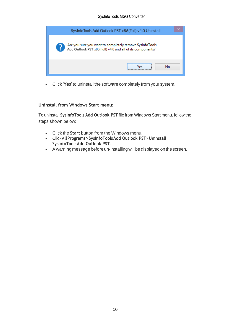| SysInfoTools Add Outlook PST x86(Full) v4.0 Uninstall                                                                |  |
|----------------------------------------------------------------------------------------------------------------------|--|
| Are you sure you want to completely remove SysInfoTools<br>Add Outlook PST x86(Full) v4.0 and all of its components? |  |
| N٥<br>l at                                                                                                           |  |

• Click **'Yes'** to uninstall the software completely from your system.

#### **Uninstall from Windows Start menu:**

To uninstall **SysInfoTools Add Outlook PST** file from Windows Start menu, follow the steps shown below:

- Click the **Start** button from the Windows menu.
- Click**AllPrograms**>**SysInfoToolsAdd Outlook PST>Uninstall SysInfoToolsAdd Outlook PST**.
- A warning message before un-installingwill be displayed on the screen.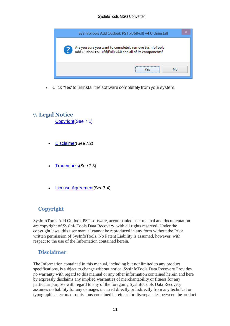

• Click **'Yes'** to uninstall the software completely from your system.

## <span id="page-11-0"></span>**7. Legal Notice**

[Copyright\(](#page-11-1)See 7.1)

- [Disclaimer](#page-11-2)(See 7.2)
- [Trademarks](#page-12-0)(See 7.3)
- [License Agreement](#page-12-1)(See7.4)

## <span id="page-11-1"></span>**Copyright**

SysInfoTools Add Outlook PST software, accompanied user manual and documentation are copyright of SysInfoTools Data Recovery, with all rights reserved. Under the copyright laws, this user manual cannot be reproduced in any form without the Prior written permission of SysInfoTools. No Patent Liability is assumed, however, with respect to the use of the Information contained herein.

### <span id="page-11-2"></span>**Disclaimer**

The Information contained in this manual, including but not limited to any product specifications, is subject to change without notice. SysInfoTools Data Recovery Provides no warranty with regard to this manual or any other information contained herein and here by expressly disclaims any implied warranties of merchantability or fitness for any particular purpose with regard to any of the foregoing SysInfoTools Data Recovery assumes no liability for any damages incurred directly or indirectly from any technical or typographical errors or omissions contained herein or for discrepancies between the product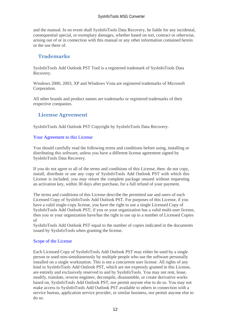and the manual. In no event shall SysInfoTools Data Recovery, be liable for any incidental, consequential special, or exemplary damages, whether based on tort, contract or otherwise, arising out of or in connection with this manual or any other information contained herein or the use there of.

## <span id="page-12-0"></span>**Trademarks**

SysInfoTools Add Outlook PST Tool is a registered trademark of SysInfoTools Data Recovery.

Windows 2000, 2003, XP and Windows Vista are registered trademarks of Microsoft Corporation.

All other brands and product names are trademarks or registered trademarks of their respective companies.

## <span id="page-12-1"></span>**License Agreement**

SysInfoTools Add Outlook PST Copyright by SysInfoTools Data Recovery.

#### Your Agreement to this License

You should carefully read the following terms and conditions before using, installing or distributing this software, unless you have a different license agreement signed by SysInfoTools Data Recovery.

If you do not agree to all of the terms and conditions of this License, then: do not copy, install, distribute or use any copy of SysInfoTools Add Outlook PST with which this License is included, you may return the complete package unused without requesting an activation key, within 30 days after purchase, for a full refund of your payment.

The terms and conditions of this License describe the permitted use and users of each Licensed Copy of SysInfoTools Add Outlook PST. For purposes of this License, if you have a valid single-copy license, you have the right to use a single Licensed Copy of SysInfoTools Add Outlook PST; if you or your organization has a valid multi-user license, then you or your organization have/has the right to use up to a number of Licensed Copies of

SysInfoTools Add Outlook PST equal to the number of copies indicated in the documents issued by SysInfoTools when granting the license.

#### Scope of the License

Each Licensed Copy of SysInfoTools Add Outlook PST may either be used by a single person or used non-simultaneously by multiple people who use the software personally installed on a single workstation. This is not a concurrent user license. All rights of any kind in SysInfoTools Add Outlook PST, which are not expressly granted in this License, are entirely and exclusively reserved to and by SysInfoTools. You may not rent, lease, modify, translate, reverse engineer, decompile, disassemble, or create derivative works based on, SysInfoTools Add Outlook PST, nor permit anyone else to do so. You may not make access to SysInfoTools Add Outlook PST available to others in connection with a service bureau, application service provider, or similar business, nor permit anyone else to do so.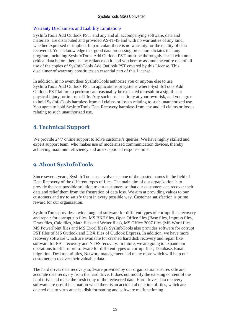#### Warranty Disclaimers and Liability Limitations

SysInfoTools Add Outlook PST, and any and all accompanying software, data and materials, are distributed and provided AS-IT-IS and with no warranties of any kind, whether expressed or implied. In particular, there is no warranty for the quality of data recovered. You acknowledge that good data processing procedure dictates that any program, including SysInfoTools Add Outlook PST, must be thoroughly tested with noncritical data before there is any reliance on it, and you hereby assume the entire risk of all use of the copies of SysInfoTools Add Outlook PST covered by this License. This disclaimer of warranty constitutes an essential part of this License.

In addition, in no event does SysInfoTools authorize you or anyone else to use SysInfoTools Add Outlook PST in applications or systems where SysInfoTools Add Outlook PST failure to perform can reasonably be expected to result in a significant physical injury, or in loss of life. Any such use is entirely at your own risk, and you agree to hold SysInfoTools harmless from all claims or losses relating to such unauthorized use. You agree to hold SysInfoTools Data Recovery harmless from any and all claims or losses relating to such unauthorized use.

# <span id="page-13-0"></span>**8. Technical Support**

We provide 24/7 online support to solve customer's queries. We have highly skilled and expert support team, who makes use of modernized communication devices, thereby achieving maximum efficiency and an exceptional response time.

# <span id="page-13-1"></span>**9. About SysInfoTools**

Since several years, SysInfoTools has evolved as one of the trusted names in the field of Data Recovery of the different types of files. The main aim of our organization is to provide the best possible solution to our customers so that our customers can recover their data and relief them from the frustration of data loss. We aim at providing values to our customers and try to satisfy them in every possible way. Customer satisfaction is prime reward for our organization.

SysInfoTools provides a wide range of software for different types of corrupt files recovery and repair for corrupt zip files, MS BKF files, Open Office files (Base files, Impress files, Draw files, Calc files, Math files and Writer files), MS Office 2007 files (MS Word files, MS PowerPoint files and MS Excel files). SysInfoTools also provides software for corrupt PST files of MS Outlook and DBX files of Outlook Express. In addition, we have more recovery software which are available for crashed hard disk recovery and repair like software for FAT recovery and NTFS recovery. In future, we are going to expand our operations to offer more software for different types of corrupt files, Database, Email migration, Desktop utilities, Network management and many more which will help our customers to recover their valuable data.

The hard drives data recovery software provided by our organization ensures safe and accurate data recovery from the hard drive. It does not modify the existing content of the hard drive and make the fresh copy of the recovered data. Hard drives data recovery software are useful in situation when there is an accidental deletion of files, which are deleted due to virus attacks, disk formatting and software malfunctioning.